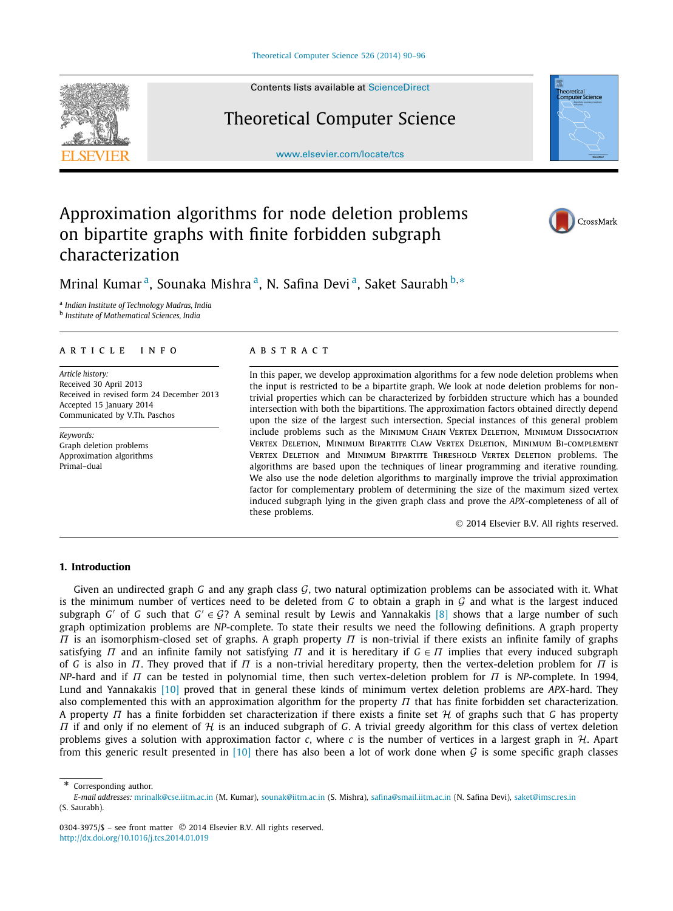

Contents lists available at [ScienceDirect](http://www.ScienceDirect.com/)

# Theoretical Computer Science

[www.elsevier.com/locate/tcs](http://www.elsevier.com/locate/tcs)



# Approximation algorithms for node deletion problems on bipartite graphs with finite forbidden subgraph characterization



Mrinal Kumar<sup>a</sup>, Sounaka Mishra<sup>a</sup>, N. Safina Devi<sup>a</sup>, Saket Saurabh<sup>b,∗</sup>

<sup>a</sup> *Indian Institute of Technology Madras, India*

<sup>b</sup> *Institute of Mathematical Sciences, India*

### article info abstract

*Article history:* Received 30 April 2013 Received in revised form 24 December 2013 Accepted 15 January 2014 Communicated by V.Th. Paschos

*Keywords:* Graph deletion problems Approximation algorithms Primal–dual

In this paper, we develop approximation algorithms for a few node deletion problems when the input is restricted to be a bipartite graph. We look at node deletion problems for nontrivial properties which can be characterized by forbidden structure which has a bounded intersection with both the bipartitions. The approximation factors obtained directly depend upon the size of the largest such intersection. Special instances of this general problem include problems such as the Minimum Chain Vertex Deletion, Minimum Dissociation Vertex Deletion, Minimum Bipartite Claw Vertex Deletion, Minimum Bi-complement Vertex Deletion and Minimum Bipartite Threshold Vertex Deletion problems. The algorithms are based upon the techniques of linear programming and iterative rounding. We also use the node deletion algorithms to marginally improve the trivial approximation factor for complementary problem of determining the size of the maximum sized vertex induced subgraph lying in the given graph class and prove the *APX*-completeness of all of these problems.

© 2014 Elsevier B.V. All rights reserved.

# **1. Introduction**

Given an undirected graph *G* and any graph class  $G$ , two natural optimization problems can be associated with it. What is the minimum number of vertices need to be deleted from *G* to obtain a graph in  $G$  and what is the largest induced subgraph *G'* of *G* such that  $G' \in \mathcal{G}$ ? A seminal result by Lewis and Yannakakis [\[8\]](#page-6-0) shows that a large number of such graph optimization problems are *NP*-complete. To state their results we need the following definitions. A graph property *Π* is an isomorphism-closed set of graphs. A graph property *Π* is non-trivial if there exists an infinite family of graphs satisfying *Π* and an infinite family not satisfying *Π* and it is hereditary if *G* ∈ *Π* implies that every induced subgraph of *G* is also in *Π*. They proved that if *Π* is a non-trivial hereditary property, then the vertex-deletion problem for *Π* is *NP*-hard and if *Π* can be tested in polynomial time, then such vertex-deletion problem for *Π* is *NP*-complete. In 1994, Lund and Yannakakis [\[10\]](#page-6-0) proved that in general these kinds of minimum vertex deletion problems are *APX*-hard. They also complemented this with an approximation algorithm for the property *Π* that has finite forbidden set characterization. A property *Π* has a finite forbidden set characterization if there exists a finite set H of graphs such that *<sup>G</sup>* has property *Π* if and only if no element of *H* is an induced subgraph of *G*. A trivial greedy algorithm for this class of vertex deletion problems gives a solution with approximation factor  $c$ , where  $c$  is the number of vertices in a largest graph in  $H$ . Apart from this generic result presented in [\[10\]](#page-6-0) there has also been a lot of work done when G is some specific graph classes

Corresponding author.

*E-mail addresses:* [mrinalk@cse.iitm.ac.in](mailto:mrinalk@cse.iitm.ac.in) (M. Kumar), [sounak@iitm.ac.in](mailto:sounak@iitm.ac.in) (S. Mishra), [safina@smail.iitm.ac.in](mailto:safina@smail.iitm.ac.in) (N. Safina Devi), [saket@imsc.res.in](mailto:saket@imsc.res.in) (S. Saurabh).

<sup>0304-3975/\$ –</sup> see front matter © 2014 Elsevier B.V. All rights reserved. <http://dx.doi.org/10.1016/j.tcs.2014.01.019>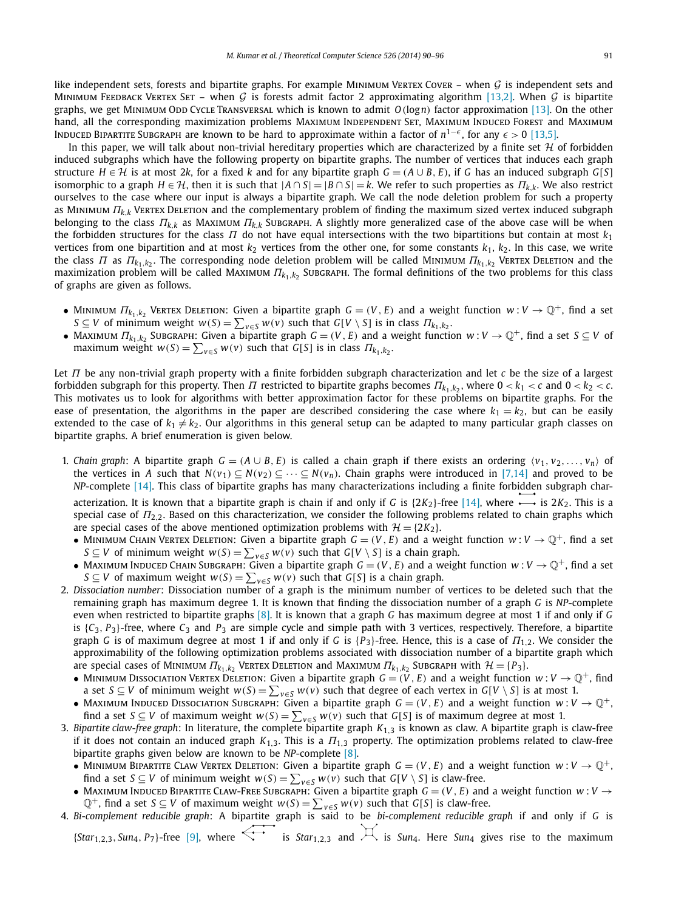like independent sets, forests and bipartite graphs. For example MINIMUM VERTEX COVER – when  $G$  is independent sets and MINIMUM FEEDBACK VERTEX SET – when G is forests admit factor 2 approximating algorithm [\[13,2\].](#page-6-0) When G is bipartite graphs, we get Minimum Odd Cycle Transversal which is known to admit *O(*log*n)* factor approximation [\[13\].](#page-6-0) On the other hand, all the corresponding maximization problems MAXIMUM INDEPENDENT SET, MAXIMUM INDUCED FOREST and MAXIMUM INDUCED BIPARTITE SUBGRAPH are known to be hard to approximate within a factor of *n*<sup>1−€</sup>, for any  $\epsilon > 0$  [\[13,5\].](#page-6-0)

In this paper, we will talk about non-trivial hereditary properties which are characterized by a finite set  $H$  of forbidden induced subgraphs which have the following property on bipartite graphs. The number of vertices that induces each graph structure  $H \in \mathcal{H}$  is at most 2k, for a fixed k and for any bipartite graph  $G = (A \cup B, E)$ , if G has an induced subgraph  $G[S]$ isomorphic to a graph  $H \in H$ , then it is such that  $|A \cap S| = |B \cap S| = k$ . We refer to such properties as  $\Pi_{k,k}$ . We also restrict ourselves to the case where our input is always a bipartite graph. We call the node deletion problem for such a property as Minimum *Πk,<sup>k</sup>* Vertex Deletion and the complementary problem of finding the maximum sized vertex induced subgraph belonging to the class *Πk,<sup>k</sup>* as Maximum *Πk,<sup>k</sup>* Subgraph. A slightly more generalized case of the above case will be when the forbidden structures for the class *Π* do not have equal intersections with the two bipartitions but contain at most *k*<sup>1</sup> vertices from one bipartition and at most  $k_2$  vertices from the other one, for some constants  $k_1$ ,  $k_2$ . In this case, we write the class *Π* as  $\Pi_{k_1,k_2}$ . The corresponding node deletion problem will be called Minimum  $\Pi_{k_1,k_2}$  Vertex Deletion and the maximization problem will be called Maximum *Π<sup>k</sup>*1*,k*<sup>2</sup> Subgraph. The formal definitions of the two problems for this class of graphs are given as follows.

- Minimum  $\Pi_{k_1,k_2}$  Vertex Deletion: Given a bipartite graph  $G = (V, E)$  and a weight function  $w: V \to \mathbb{Q}^+$ , find a set  $S \subseteq V$  of minimum weight  $w(S) = \sum_{v \in S} w(v)$  such that  $G[V \setminus S]$  is in class  $\Pi_{k_1,k_2}$ .
- Maximum  $\Pi_{k_1,k_2}$  Subgraph: Given a bipartite graph  $G=(V,E)$  and a weight function  $w:V\to\mathbb{Q}^+$ , find a set  $S\subseteq V$  of  $maximum$  weight  $w(S) = \sum_{v \in S} w(v)$  such that  $G[S]$  is in class  $\Pi_{k_1,k_2}$ .

Let *Π* be any non-trivial graph property with a finite forbidden subgraph characterization and let *c* be the size of a largest forbidden subgraph for this property. Then *Π* restricted to bipartite graphs becomes  $\Pi_{k_1,k_2}$ , where  $0 < k_1 < c$  and  $0 < k_2 < c$ . This motivates us to look for algorithms with better approximation factor for these problems on bipartite graphs. For the ease of presentation, the algorithms in the paper are described considering the case where  $k_1 = k_2$ , but can be easily extended to the case of  $k_1 \neq k_2$ . Our algorithms in this general setup can be adapted to many particular graph classes on bipartite graphs. A brief enumeration is given below.

1. *Chain graph*: A bipartite graph  $G = (A \cup B, E)$  is called a chain graph if there exists an ordering  $\langle v_1, v_2, \ldots, v_n \rangle$  of the vertices in *A* such that  $N(v_1) \subseteq N(v_2) \subseteq \cdots \subseteq N(v_n)$ . Chain graphs were introduced in [\[7,14\]](#page-6-0) and proved to be *NP*-complete [\[14\].](#page-6-0) This class of bipartite graphs has many characterizations including a finite forbidden subgraph characterization. It is known that a bipartite graph is chain if and only if *G* is  $\{2K_2\}$ -free [\[14\],](#page-6-0) where  $\longrightarrow$  is  $2K_2$ . This is a

special case of *Π*2*,*2. Based on this characterization, we consider the following problems related to chain graphs which are special cases of the above mentioned optimization problems with  $\mathcal{H} = \{2K_2\}$ .

- MINIMUM CHAIN VERTEX DELETION: Given a bipartite graph  $G = (V, E)$  and a weight function  $w: V \to \mathbb{Q}^+$ , find a set *S* ⊆ *V* of minimum weight  $w(S) = \sum_{v \in S} w(v)$  such that *G*[*V* \ *S*] is a chain graph.
- Maximum Induced Chain Subgraph: Given a bipartite graph  $G = (V, E)$  and a weight function  $w: V \to \mathbb{Q}^+$ , find a set *S* ⊆ *V* of maximum weight  $w(S) = \sum_{v \in S} w(v)$  such that *G*[*S*] is a chain graph.
- 2. *Dissociation number*: Dissociation number of a graph is the minimum number of vertices to be deleted such that the remaining graph has maximum degree 1. It is known that finding the dissociation number of a graph *G* is *NP*-complete even when restricted to bipartite graphs [\[8\].](#page-6-0) It is known that a graph *G* has maximum degree at most 1 if and only if *G* is  $\{C_3, P_3\}$ -free, where  $C_3$  and  $P_3$  are simple cycle and simple path with 3 vertices, respectively. Therefore, a bipartite graph *G* is of maximum degree at most 1 if and only if *G* is {*P*3}-free. Hence, this is a case of *Π*1*,*2. We consider the approximability of the following optimization problems associated with dissociation number of a bipartite graph which are special cases of MINIMUM  $\Pi_{k_1,k_2}$  VERTEX DELETION and MAXIMUM  $\Pi_{k_1,k_2}$  SUBGRAPH with  $\mathcal{H} = \{P_3\}$ .
	- MINIMUM DISSOCIATION VERTEX DELETION: Given a bipartite graph  $G = (V, E)$  and a weight function  $w: V \to \mathbb{Q}^+$ , find a set *S*  $\subseteq$  *V* of minimum weight  $w(S) = \sum_{v \in S} w(v)$  such that degree of each vertex in *G*[*V* \ *S*] is at most 1.
	- Maximum Induced Dissociation Subgraph: Given a bipartite graph  $G = (V, E)$  and a weight function  $w: V \to \mathbb{Q}^+,$ find a set *S* ⊆ *V* of maximum weight  $w(S) = \sum_{v \in S} w(v)$  such that *G*[*S*] is of maximum degree at most 1.
- 3. *Bipartite claw-free graph*: In literature, the complete bipartite graph *K*1*,*<sup>3</sup> is known as claw. A bipartite graph is claw-free if it does not contain an induced graph  $K_{1,3}$ . This is a  $\Pi_{1,3}$  property. The optimization problems related to claw-free bipartite graphs given below are known to be *NP*-complete [\[8\].](#page-6-0)
	- MINIMUM BIPARTITE CLAW VERTEX DELETION: Given a bipartite graph  $G = (V, E)$  and a weight function  $w: V \to \mathbb{Q}^+,$ find a set *S* ⊆ *V* of minimum weight  $w(S) = \sum_{v \in S} w(v)$  such that *G*[*V* \ *S*] is claw-free.
	- Maximum Induced Bipartite Claw-Free Subgraph: Given a bipartite graph  $G = (V, E)$  and a weight function  $w: V \to$  $\mathbb{Q}^+$ , find a set  $S \subseteq V$  of maximum weight  $w(S) = \sum_{v \in S} w(v)$  such that  $G[S]$  is claw-free.
- 4. *Bi-complement reducible graph*: A bipartite graph is said to be *bi-complement reducible graph* if and only if *G* is  ${fStar}_{1,2,3}$ , *Sun<sub>4</sub>*,  $P_7$ }-free [\[9\],](#page-6-0) where  $\overleftrightarrow{\cdot}$  is *Star*<sub>123</sub> and  $\overleftrightarrow{\cdot}$  is *Sun<sub>4</sub>*. Here *Sun<sub>4</sub>* gives rise to the maximum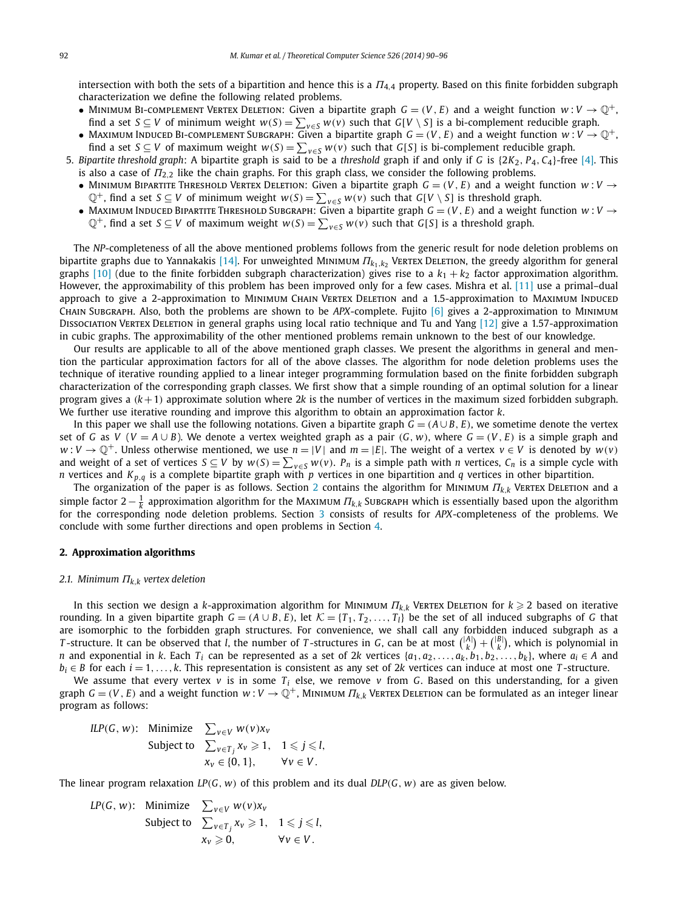intersection with both the sets of a bipartition and hence this is a *Π*4*,*<sup>4</sup> property. Based on this finite forbidden subgraph characterization we define the following related problems.

- MINIMUM BI-COMPLEMENT VERTEX DELETION: Given a bipartite graph  $G = (V, E)$  and a weight function  $w: V \to \mathbb{Q}^+,$ find a set *S* ⊆ *V* of minimum weight  $w(S) = \sum_{v \in S} w(v)$  such that *G*[*V* \ *S*] is a bi-complement reducible graph.
- Maximum Induced Bi-complement Subgraph: Given a bipartite graph  $G = (V, E)$  and a weight function  $w: V \to \mathbb{Q}^+$ , find a set *S* ⊆ *V* of maximum weight  $w(S) = \sum_{v \in S} w(v)$  such that *G*[*S*] is bi-complement reducible graph.
- 5. *Bipartite threshold graph*: A bipartite graph is said to be a *threshold* graph if and only if *G* is {2*K*2*, P*4*, C*4}-free [\[4\].](#page-6-0) This is also a case of *Π*2*,*<sup>2</sup> like the chain graphs. For this graph class, we consider the following problems.
	- MINIMUM BIPARTITE THRESHOLD VERTEX DELETION: Given a bipartite graph  $G = (V, E)$  and a weight function  $w: V \rightarrow$  $\mathbb{Q}^+$ , find a set *S* ⊆ *V* of minimum weight *w*(*S*) =  $\sum_{v \in S} w(v)$  such that *G*[*V* \ *S*] is threshold graph.
	- MAXIMUM INDUCED BIPARTITE THRESHOLD SUBGRAPH: Given a bipartite graph  $G = (V, E)$  and a weight function  $w: V \to$ Q<sup>+</sup>, find a set *S* ⊆ *V* of maximum weight  $w(S) = \sum_{v \in S} w(v)$  such that *G*[*S*] is a threshold graph.

The *NP*-completeness of all the above mentioned problems follows from the generic result for node deletion problems on bipartite graphs due to Yannakakis [\[14\].](#page-6-0) For unweighted Minimum *Π<sup>k</sup>*1*,k*<sup>2</sup> Vertex Deletion, the greedy algorithm for general graphs  $[10]$  (due to the finite forbidden subgraph characterization) gives rise to a  $k_1 + k_2$  factor approximation algorithm. However, the approximability of this problem has been improved only for a few cases. Mishra et al. [\[11\]](#page-6-0) use a primal–dual approach to give a 2-approximation to MINIMUM CHAIN VERTEX DELETION and a 1.5-approximation to MAXIMUM INDUCED Chain Subgraph. Also, both the problems are shown to be *APX*-complete. Fujito [\[6\]](#page-6-0) gives a 2-approximation to Minimum Dissociation Vertex Deletion in general graphs using local ratio technique and Tu and Yang [\[12\]](#page-6-0) give a 1.57-approximation in cubic graphs. The approximability of the other mentioned problems remain unknown to the best of our knowledge.

Our results are applicable to all of the above mentioned graph classes. We present the algorithms in general and mention the particular approximation factors for all of the above classes. The algorithm for node deletion problems uses the technique of iterative rounding applied to a linear integer programming formulation based on the finite forbidden subgraph characterization of the corresponding graph classes. We first show that a simple rounding of an optimal solution for a linear program gives a *(k*+1*)* approximate solution where 2*k* is the number of vertices in the maximum sized forbidden subgraph. We further use iterative rounding and improve this algorithm to obtain an approximation factor *k*.

In this paper we shall use the following notations. Given a bipartite graph  $G = (A \cup B, E)$ , we sometime denote the vertex set of G as V ( $V = A \cup B$ ). We denote a vertex weighted graph as a pair (G, w), where  $G = (V, E)$  is a simple graph and *w* : *V* →  $\mathbb{Q}^+$ . Unless otherwise mentioned, we use  $n = |V|$  and  $m = |E|$ . The weight of a vertex  $v \in V$  is denoted by  $w(v)$ and weight of a set of vertices  $S \subseteq V$  by  $w(S) = \sum_{v \in S} w(v)$ .  $P_n$  is a simple path with n vertices,  $C_n$  is a simple cycle with *n* vertices and *Kp,<sup>q</sup>* is a complete bipartite graph with *p* vertices in one bipartition and *q* vertices in other bipartition.

The organization of the paper is as follows. Section 2 contains the algorithm for Minimum *Πk,<sup>k</sup>* Vertex Deletion and a simple factor 2− <sup>1</sup> *<sup>k</sup>* approximation algorithm for the Maximum *Πk,<sup>k</sup>* Subgraph which is essentially based upon the algorithm for the corresponding node deletion problems. Section [3](#page-5-0) consists of results for *APX*-completeness of the problems. We conclude with some further directions and open problems in Section [4.](#page-6-0)

### **2. Approximation algorithms**

#### *2.1. Minimum Πk,<sup>k</sup> vertex deletion*

In this section we design a *k*-approximation algorithm for Minimum *Πk,<sup>k</sup>* Vertex Deletion for *k* - 2 based on iterative rounding. In a given bipartite graph  $G = (A \cup B, E)$ , let  $K = \{T_1, T_2, \ldots, T_l\}$  be the set of all induced subgraphs of *G* that are isomorphic to the forbidden graph structures. For convenience, we shall call any forbidden induced subgraph as a *T*-structure. It can be observed that *l*, the number of *T*-structures in *G*, can be at most  $\binom{|A|}{k} + \binom{|B|}{k}$ , which is polynomial in *n* and exponential in k. Each  $T_i$  can be represented as a set of 2k vertices  $\{a_1, a_2, \ldots, a_k, b_1, b_2, \ldots, b_k\}$ , where  $a_i \in A$  and *bi* ∈ *B* for each *i* = 1*,...,k*. This representation is consistent as any set of 2*k* vertices can induce at most one *T* -structure.

We assume that every vertex  $v$  is in some  $T_i$  else, we remove  $v$  from *G*. Based on this understanding, for a given graph *G* = (*V*, *E*) and a weight function *w* : *V* →  $\mathbb{Q}^+$ , MINIMUM  $\Pi_{k,k}$  VERTEX DELETION can be formulated as an integer linear program as follows:

*ILP*(*G*, *w*): Minimize 
$$
\sum_{v \in V} w(v)x_v
$$
  
Subject to  $\sum_{v \in T_j} x_v \ge 1$ ,  $1 \le j \le l$ ,  
 $x_v \in \{0, 1\}$ ,  $\forall v \in V$ .

The linear program relaxation *LP(G, w)* of this problem and its dual *DLP(G, w)* are as given below.

*LP*(*G*, *w*): Minimize 
$$
\sum_{v \in V} w(v)x_v
$$
  
Subject to  $\sum_{v \in T_j} x_v \ge 1$ ,  $1 \le j \le l$ ,  
 $x_v \ge 0$ ,  $\forall v \in V$ .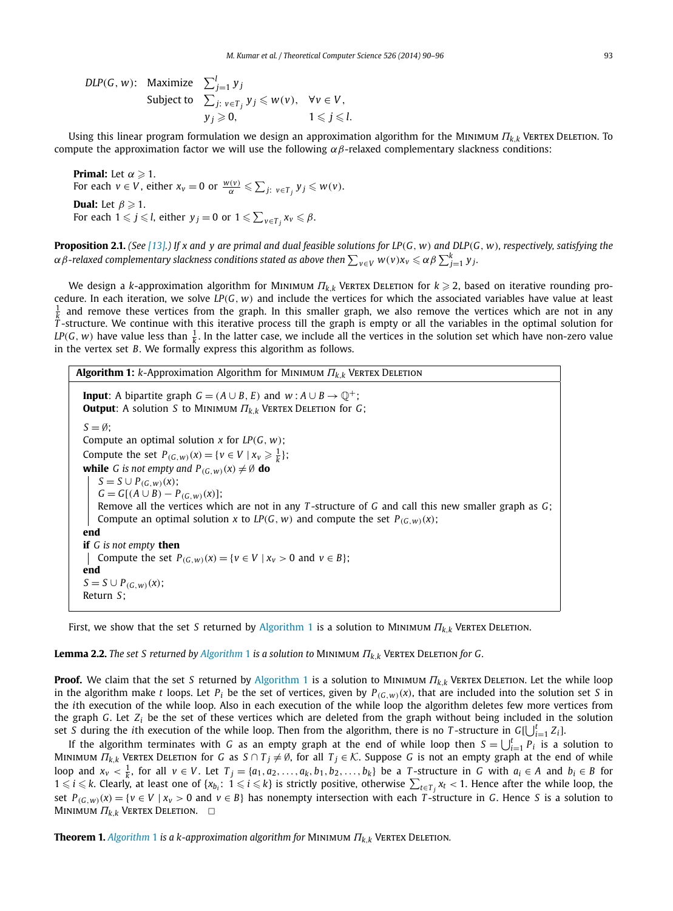<span id="page-3-0"></span>*DLP*(*G*, *w*): Maximize  $\sum_{j=1}^{l} y_j$ Subject to  $\sum_{j: v \in T_j} y_j \leq w(v)$ ,  $\forall v \in V$ ,  $y_j \geqslant 0,$   $1 \leqslant j \leqslant l.$ 

Using this linear program formulation we design an approximation algorithm for the Minimum *Πk,<sup>k</sup>* Vertex Deletion. To compute the approximation factor we will use the following *αβ*-relaxed complementary slackness conditions:

**Primal:** Let  $\alpha \geqslant 1$ . For each  $v \in V$ , either  $x_v = 0$  or  $\frac{w(v)}{\alpha} \leqslant \sum_{j: v \in T_j} y_j \leqslant w(v)$ . **Dual:** Let  $\beta \geqslant 1$ . For each  $1 \leqslant j \leqslant l$ , either  $y_j = 0$  or  $1 \leqslant \sum_{v \in T_j} x_v \leqslant \beta$ .

**Proposition 2.1.** (See [\[13\].](#page-6-0)) If x and y are primal and dual feasible solutions for LP(G, w) and DLP(G, w), respectively, satisfying the  $\alpha$   $\beta$ -relaxed complementary slackness conditions stated as above then  $\sum_{v\in V}w(v)x_v\leqslant \alpha\beta\sum_{j=1}^k y_j.$ 

We design a *k*-approximation algorithm for Minimum *Πk,<sup>k</sup>* Vertex Deletion for *k* - 2, based on iterative rounding procedure. In each iteration, we solve *LP(G, w)* and include the vertices for which the associated variables have value at least  $\frac{1}{k}$  and remove these vertices from the graph. In this smaller graph, we also remove the vertices which are not in any  $T$ -structure. We continue with this iterative process till the graph is empty or all the variabl *LP*(*G*, *w*) have value less than  $\frac{1}{k}$ . In the latter case, we include all the vertices in the solution set which have non-zero value in the vertex set *B*. We formally express this algorithm as follows.

**Algorithm 1:** *k*-Approximation Algorithm for Minimum *Πk,<sup>k</sup>* Vertex Deletion **Input**: A bipartite graph *G* =  $(A \cup B, E)$  and  $w : A \cup B \rightarrow \mathbb{Q}^+$ ; **Output**:Asolution *S* to Minimum *Πk,<sup>k</sup>* Vertex Deletion for *G*;  $S = \emptyset$ ; Compute an optimal solution *x* for *LP(G, w)*; Compute the set  $P_{(G,w)}(x) = \{v \in V \mid x_v \geq \frac{1}{k}\};$ **while** *G* is not empty and  $P_{(G, w)}(x) \neq \emptyset$  **do** *S* = *S* ∪ *P*<sub>(*G,w*)(*x*);</sub>  $G = G[(A \cup B) - P(G, w)(x)];$ Remove all the vertices which are not in any *T* -structure of *G* and call this new smaller graph as *G*; Compute an optimal solution *x* to *LP*(*G*, *w*) and compute the set  $P_{(G,w)}(x)$ ; **end if** *G is not empty* **then** | Compute the set *P*<sub>*(G,w)*</sub>(*x*) = {*v* ∈ *V* | *x<sub><i>v*</sub> > 0 and *v* ∈ *B*}; **end** *S* = *S* ∪ *P*<sub>(*G,w*)(*x*);</sub> Return *S*;

First, we show that the set *S* returned by Algorithm 1 is a solution to Minimum *Πk,<sup>k</sup>* Vertex Deletion.

**Lemma 2.2.** *The set S returned by Algorithm* 1 *is a solution to* Minimum *Πk,<sup>k</sup>* Vertex Deletion *for G.*

**Proof.** We claim that the set *S* returned by Algorithm 1 is a solution to Minimum *Πk,<sup>k</sup>* Vertex Deletion. Let the while loop in the algorithm make *t* loops. Let  $P_i$  be the set of vertices, given by  $P_{(G_i, w)}(x)$ , that are included into the solution set *S* in the *i*th execution of the while loop. Also in each execution of the while loop the algorithm deletes few more vertices from the graph *G*. Let *Zi* be the set of these vertices which are deleted from the graph without being included in the solution set *S* during the *i*th execution of the while loop. Then from the algorithm, there is no *T*-structure in  $G[\bigcup_{i=1}^{t} Z_i]$ .

If the algorithm terminates with *G* as an empty graph at the end of while loop then  $S = \bigcup_{i=1}^t P_i$  is a solution to MINIMUM *Π*<sub>*k*,*k*</sub> VERTEX DELETION for *G* as *S* ∩ *T*<sub>j</sub>  $\neq$  Ø, for all *T*<sub>j</sub> ∈ *K*. Suppose *G* is not an empty graph at the end of while loop and  $x_v < \frac{1}{k}$ , for all  $v \in V$ . Let  $T_j = \{a_1, a_2, ..., a_k, b_1, b_2, ..., b_k\}$  be a T-structure in G with  $a_i \in A$  and  $b_i \in B$  for  $1$  ≤  $i$  ≤  $k$ . Clearly, at least one of { $x_{b_i}$ :  $1$  ≤  $i$  ≤  $k$ } is strictly positive, otherwise  $\sum_{t\in T_j}x_t$  < 1. Hence after the while loop, the set  $P_{(G,w)}(x) = \{v \in V \mid x_v > 0 \text{ and } v \in B\}$  has nonempty intersection with each T-structure in G. Hence S is a solution to MINIMUM  $\Pi_{k,k}$  Vertex Deletion.  $□$ 

**Theorem 1.** *Algorithm* 1 *is a k-approximation algorithm for* Minimum *Πk,<sup>k</sup>* Vertex Deletion*.*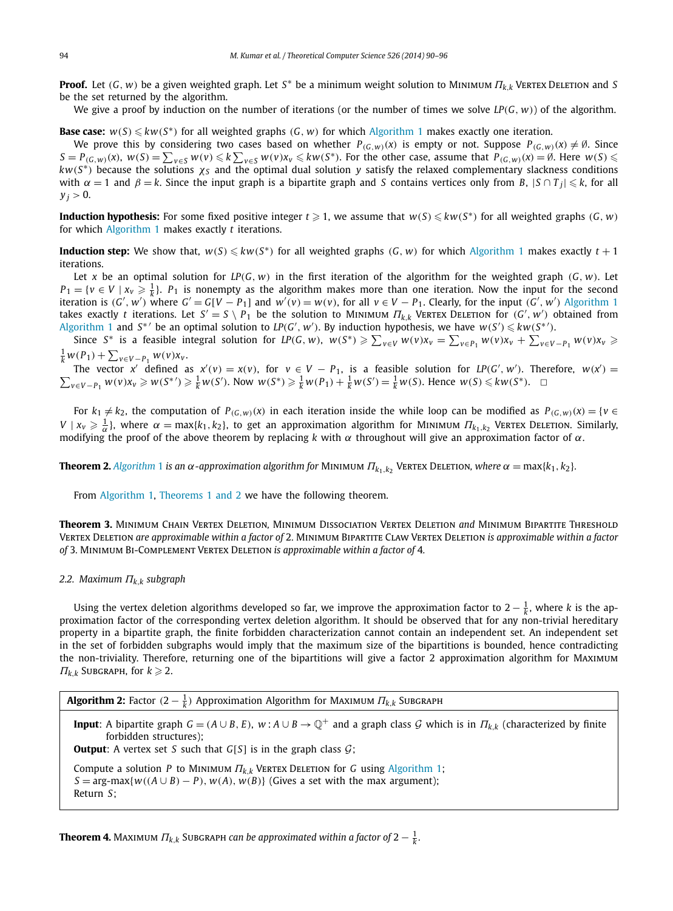<span id="page-4-0"></span>**Proof.** Let *(G, <sup>w</sup>)* be a given weighted graph. Let *<sup>S</sup>*<sup>∗</sup> be a minimum weight solution to Minimum *Πk,<sup>k</sup>* Vertex Deletion and *<sup>S</sup>* be the set returned by the algorithm.

We give a proof by induction on the number of iterations (or the number of times we solve *LP(G, w)*) of the algorithm.

**Base case:**  $w(S) \leq kw(S^*)$  for all weighted graphs  $(G, w)$  for which [Algorithm 1](#page-3-0) makes exactly one iteration.

We prove this by considering two cases based on whether  $P_{(G,w)}(x)$  is empty or not. Suppose  $P_{(G,w)}(x) \neq \emptyset$ . Since  $S = P_{(G,w)}(x)$ ,  $w(S) = \sum_{v \in S} w(v) \leq k \sum_{v \in S} w(v) x_v \leq k w(S^*)$ . For the other case, assume that  $P_{(G,w)}(x) = \emptyset$ . Here  $w(S) \leq$  $kw(S^*)$  because the solutions  $\chi_S$  and the optimal dual solution *y* satisfy the relaxed complementary slackness conditions with  $\alpha = 1$  and  $\beta = k$ . Since the input graph is a bipartite graph and *S* contains vertices only from *B*,  $|S \cap T_i| \le k$ , for all  $y_i > 0$ .

**Induction hypothesis:** For some fixed positive integer  $t \ge 1$ , we assume that  $w(S) \le kw(S^*)$  for all weighted graphs  $(G, w)$ for which [Algorithm 1](#page-3-0) makes exactly *t* iterations.

**Induction step:** We show that,  $w(S) \leq kw(S^*)$  for all weighted graphs  $(G, w)$  for which [Algorithm 1](#page-3-0) makes exactly  $t + 1$ iterations.

Let *x* be an optimal solution for  $LP(G, w)$  in the first iteration of the algorithm for the weighted graph  $(G, w)$ . Let  $P_1 = \{v \in V \mid x_v \geq \frac{1}{k}\}\.$  *P*<sub>1</sub> is nonempty as the algorithm makes more than one iteration. Now the input for the second iteration is  $(G', w')$  where  $G' = G[V - P_1]$  and  $w'(v) = w(v)$ , for all  $v \in V - P_1$ . Clearly, for the input  $(G', w')$  [Algorithm 1](#page-3-0) takes exactly *t* iterations. Let  $S' = S \setminus P_1$  be the solution to MINIMUM  $\Pi_{k,k}$  VERTEX DELETION for  $(G', w')$  obtained from [Algorithm 1](#page-3-0) and  $S^*$  be an optimal solution to  $LP(G', w')$ . By induction hypothesis, we have  $w(S') \leq k w(S^*)$ .

Since  $S^*$  is a feasible integral solution for  $LP(G, w)$ ,  $w(S^*) \ge \sum_{v \in V} w(v) x_v = \sum_{v \in P_1} w(v) x_v + \sum_{v \in V - P_1} w(v) x_v \ge$  $\frac{1}{k} w(P_1) + \sum_{v \in V - P_1} w(v) x_v$ .

The vector x' defined as  $x'(v) = x(v)$ , for  $v \in V - P_1$ , is a feasible solution for  $LP(G', w')$ . Therefore,  $w(x')$ The vector x' defined as  $x'(v) = x(v)$ , for  $v \in V - P_1$ , is a feasible solution for *LP*(*G'*, *w'*). Therefore,  $w(x') = \sum_{v \in V - P_1} w(v)x_v \geq w(S^*) \geq \frac{1}{V}w(S')$ . Now  $w(S^*) \geq \frac{1}{V}w(P_1) + \frac{1}{V}w(S') = \frac{1}{V}w(S)$ . Hence  $w(S) \leq kw(S^*)$ .  $v \in V - P_1$   $w(v)x_v \geq w(S^*) \geq \frac{1}{k}w(S')$ . Now  $w(S^*) \geq \frac{1}{k}w(P_1) + \frac{1}{k}w(S') = \frac{1}{k}w(S)$ . Hence  $w(S) \leq kw(S^*)$ .  $\Box$ 

For  $k_1 \neq k_2$ , the computation of  $P_{(G,w)}(x)$  in each iteration inside the while loop can be modified as  $P_{(G,w)}(x) = \{v \in G\}$ *V* |  $x_v \ge \frac{1}{\alpha}$ }, where  $\alpha = \max\{k_1, k_2\}$ , to get an approximation algorithm for Minimum *Π*<sub>*k*1</sub>, *k*<sub>2</sub> Vertex Deletion. Similarly, modifying the proof of the above theorem by replacing *k* with *α* throughout will give an approximation factor of *α*.

**Theorem 2.** *[Algorithm](#page-3-0)* 1 *is an α*-approximation algorithm for MINIMUM  $\Pi_{k_1,k_2}$  VERTEX DELETION, where  $\alpha = \max\{k_1, k_2\}$ .

From [Algorithm 1,](#page-3-0) [Theorems 1 and 2](#page-3-0) we have the following theorem.

**Theorem 3.** Minimum Chain Vertex Deletion*,* Minimum Dissociation Vertex Deletion *and* Minimum Bipartite Threshold Vertex Deletion *are approximable within a factor of* 2*.* Minimum Bipartite Claw Vertex Deletion *is approximable within a factor of* 3*.* Minimum Bi-Complement Vertex Deletion *is approximable within a factor of* 4*.*

#### *2.2. Maximum Πk,<sup>k</sup> subgraph*

Using the vertex deletion algorithms developed so far, we improve the approximation factor to 2  $-\frac{1}{k}$ , where *k* is the approximation factor of the corresponding vertex deletion algorithm. It should be observed that for any non-trivial hereditary property in a bipartite graph, the finite forbidden characterization cannot contain an independent set. An independent set in the set of forbidden subgraphs would imply that the maximum size of the bipartitions is bounded, hence contradicting the non-triviality. Therefore, returning one of the bipartitions will give a factor 2 approximation algorithm for Maximum  $\Pi_{k,k}$  Subgraph, for  $k \geqslant 2$ .

**Input**: A bipartite graph  $G = (A \cup B, E)$ ,  $w : A \cup B \rightarrow \mathbb{Q}^+$  and a graph class G which is in  $\Pi_{k,k}$  (characterized by finite forbidden structures);

**Output:** A vertex set *S* such that  $G[S]$  is in the graph class  $G$ ;

Compute a solution *P* to Minimum *Πk,<sup>k</sup>* Vertex Deletion for *G* using [Algorithm 1;](#page-3-0)  $S = \arg\max\{w((A \cup B) - P), w(A), w(B)\}$  (Gives a set with the max argument); Return *S*;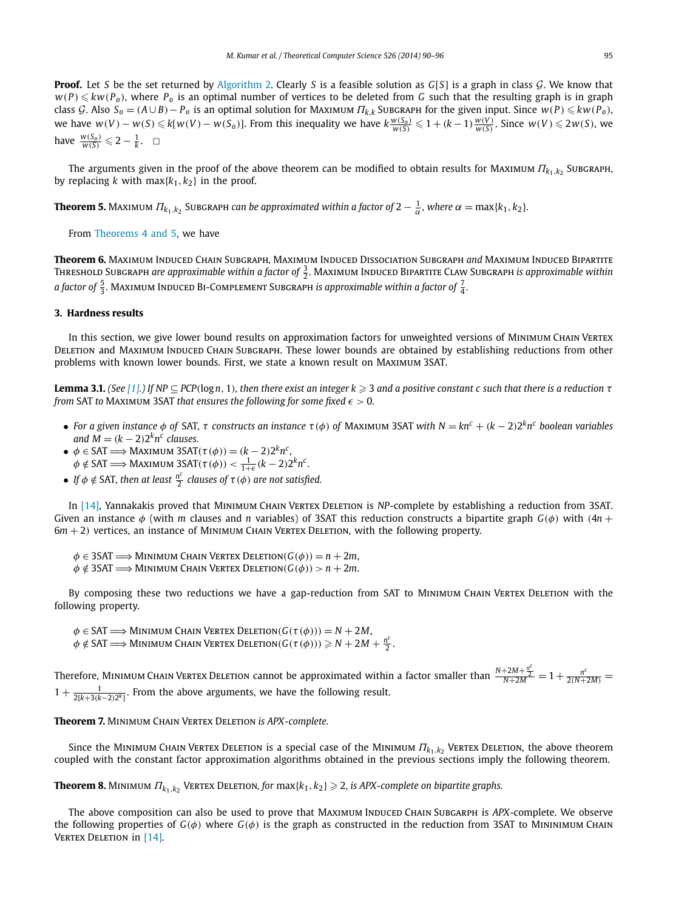<span id="page-5-0"></span>**Proof.** Let *S* be the set returned by [Algorithm 2.](#page-4-0) Clearly *S* is a feasible solution as *G*[*S*] is a graph in class *G*. We know that  $w(P) \leq kw(P_0)$ , where  $P_0$  is an optimal number of vertices to be deleted from *G* such that the resulting graph is in graph class G. Also  $S_0 = (A \cup B) - P_0$  is an optimal solution for MAXIMUM  $\Pi_{k,k}$  SUBGRAPH for the given input. Since  $w(P) \leq k w(P_0)$ , we have  $w(V) - w(S) \le k[w(V) - w(S_0)]$ . From this inequality we have  $k \frac{w(S_0)}{w(S)} \le 1 + (k-1) \frac{w(V)}{w(S)}$ . Since  $w(V) \le 2w(S)$ , we have  $\frac{w(S_0)}{w(S)} \leq 2 - \frac{1}{k}$ .  $\Box$ 

The arguments given in the proof of the above theorem can be modified to obtain results for MAXIMUM  $\Pi_{k_1,k_2}$  SUBGRAPH, by replacing *k* with  $max\{k_1, k_2\}$  in the proof.

**Theorem 5.** Maximum  $\Pi_{k_1,k_2}$  Subgraph can be approximated within a factor of 2  $-\frac{1}{\alpha}$ , where  $\alpha = \max\{k_1,k_2\}$ .

From [Theorems 4 and 5,](#page-4-0) we have

**Theorem 6.** Maximum Induced Chain Subgraph*,* Maximum Induced Dissociation Subgraph *and* Maximum Induced Bipartite Tнкеѕно∟d Suвскарн are approximable within a factor of  $\frac{3}{2}$ . Махıмим Induced Bıрактıте С∟аw Suвскарн is approximable within a factor of  $\frac{5}{3}$ . Maximum Induced Bi-Complement Subgraph is approximable within a factor of  $\frac{7}{4}$ .

## **3. Hardness results**

In this section, we give lower bound results on approximation factors for unweighted versions of Minimum Chain Vertex DELETION and MAXIMUM INDUCED CHAIN SUBGRAPH. These lower bounds are obtained by establishing reductions from other problems with known lower bounds. First, we state a known result on Maximum 3SAT.

**Lemma 3.1.** (See [\[1\].](#page-6-0)) If NP  $\subseteq$  PCP(logn, 1), then there exist an integer  $k\geqslant 3$  and a positive constant c such that there is a reduction  $\tau$ *from* SAT *to* Maximum 3SAT *that ensures the following for some fixed*  $\epsilon > 0$ *.* 

- For a given instance  $\phi$  of SAT,  $\tau$  constructs an instance  $\tau(\phi)$  of MAXIMUM 3SAT with  $N = kn^c + (k-2)2^kn^c$  boolean variables *and*  $M = (k - 2)2^{k}n^{c}$  *clauses.*
- $\phi \in SAT \Longrightarrow$  Maximum 3SAT $(\tau(\phi)) = (k-2)2^k n^c$ ,  $\phi \notin \text{SAT} \Longrightarrow \text{Maximum } 3\text{SAT}(\tau(\phi)) < \frac{1}{1+\epsilon}(k-2)2^k n^c.$
- *If*  $\phi \notin$  SAT, then at least  $\frac{n^c}{2}$  clauses of  $\tau(\phi)$  are not satisfied.

In [\[14\],](#page-6-0) Yannakakis proved that MINIMUM CHAIN VERTEX DELETION is *NP*-complete by establishing a reduction from 3SAT. Given an instance *φ* (with *m* clauses and *n* variables) of 3SAT this reduction constructs a bipartite graph *G(φ)* with *(*4*n* + 6*m* + 2*)* vertices, an instance of Minimum Chain Vertex Deletion, with the following property.

- $\phi \in 3SAT \Longrightarrow$  Minimum Chain Vertex Deletion $(G(\phi)) = n + 2m$ ,
- $\phi \notin 3SAT \Longrightarrow$  Minimum Chain Vertex Deletion $(G(\phi)) > n + 2m$ .

By composing these two reductions we have a gap-reduction from SAT to MINIMUM CHAIN VERTEX DELETION with the following property.

 $\phi \in SAT \Longrightarrow$  Minimum Chain Vertex Deletion $(G(\tau(\phi))) = N + 2M$ ,  $\phi \notin \text{SAT} \Longrightarrow \text{Minimum CHAIN VERTEX DELETION}(G(\tau(\phi))) \geqslant N + 2M + \frac{n^c}{2}.$ 

 $N$  Therefore, Minimum Chain Vertex Deletion cannot be approximated within a factor smaller than  $\frac{N+2M+\frac{n^c}{2}}{N+2M} = 1+\frac{n^c}{2(N+2M)}=1$  $1 + \frac{1}{2[k+3(k-2)2^k]}$ . From the above arguments, we have the following result.

**Theorem 7.** Minimum Chain Vertex Deletion *is APX-complete.*

Since the MINIMUM CHAIN VERTEX DELETION is a special case of the MINIMUM  $\Pi_{k_1,k_2}$  VERTEX DELETION, the above theorem coupled with the constant factor approximation algorithms obtained in the previous sections imply the following theorem.

 ${\bf Theorem 8.}$  ΜιΝιΜUΜ  $\Pi_{k_1,k_2}$  Vertex Deletion, for  ${\sf max}\{k_1,k_2\}\geqslant 2$ , is APX-complete on bipartite graphs.

The above composition can also be used to prove that Maximum Induced Chain Subgarph is *APX*-complete. We observe the following properties of *G*( $φ$ ) where *G*( $φ$ ) is the graph as constructed in the reduction from 3SAT to MININIMUM CHAIN VERTEX DELETION in [\[14\].](#page-6-0)